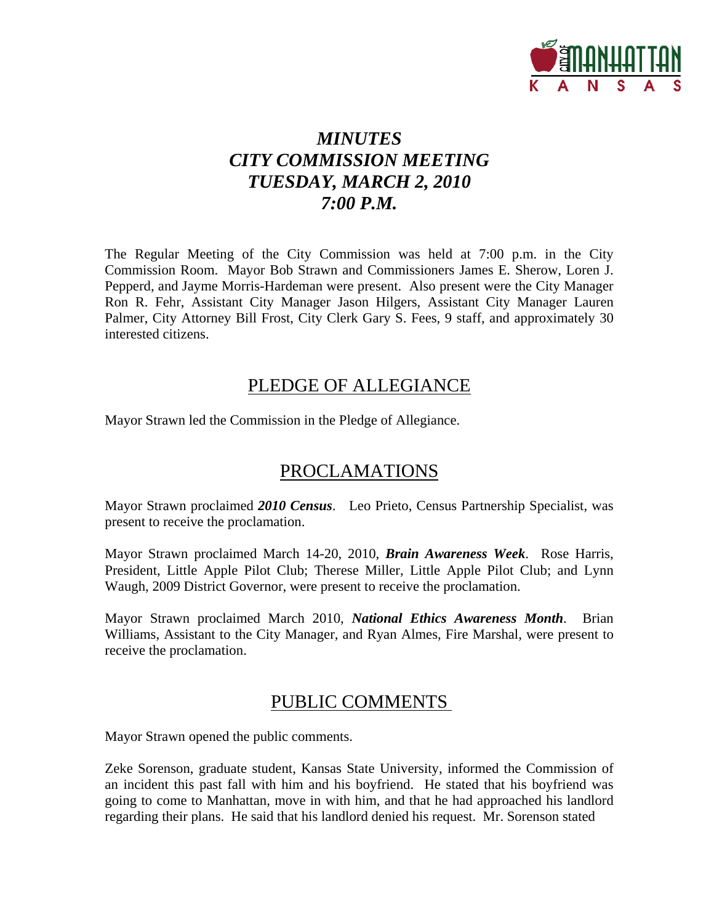

# *MINUTES CITY COMMISSION MEETING TUESDAY, MARCH 2, 2010 7:00 P.M.*

The Regular Meeting of the City Commission was held at 7:00 p.m. in the City Commission Room. Mayor Bob Strawn and Commissioners James E. Sherow, Loren J. Pepperd, and Jayme Morris-Hardeman were present. Also present were the City Manager Ron R. Fehr, Assistant City Manager Jason Hilgers, Assistant City Manager Lauren Palmer, City Attorney Bill Frost, City Clerk Gary S. Fees, 9 staff, and approximately 30 interested citizens.

## PLEDGE OF ALLEGIANCE

Mayor Strawn led the Commission in the Pledge of Allegiance.

## PROCLAMATIONS

Mayor Strawn proclaimed *2010 Census*. Leo Prieto, Census Partnership Specialist, was present to receive the proclamation.

Mayor Strawn proclaimed March 14-20, 2010, *Brain Awareness Week*. Rose Harris, President, Little Apple Pilot Club; Therese Miller, Little Apple Pilot Club; and Lynn Waugh, 2009 District Governor, were present to receive the proclamation.

Mayor Strawn proclaimed March 2010, *National Ethics Awareness Month*. Brian Williams, Assistant to the City Manager, and Ryan Almes, Fire Marshal, were present to receive the proclamation.

# PUBLIC COMMENTS

Mayor Strawn opened the public comments.

Zeke Sorenson, graduate student, Kansas State University, informed the Commission of an incident this past fall with him and his boyfriend. He stated that his boyfriend was going to come to Manhattan, move in with him, and that he had approached his landlord regarding their plans. He said that his landlord denied his request. Mr. Sorenson stated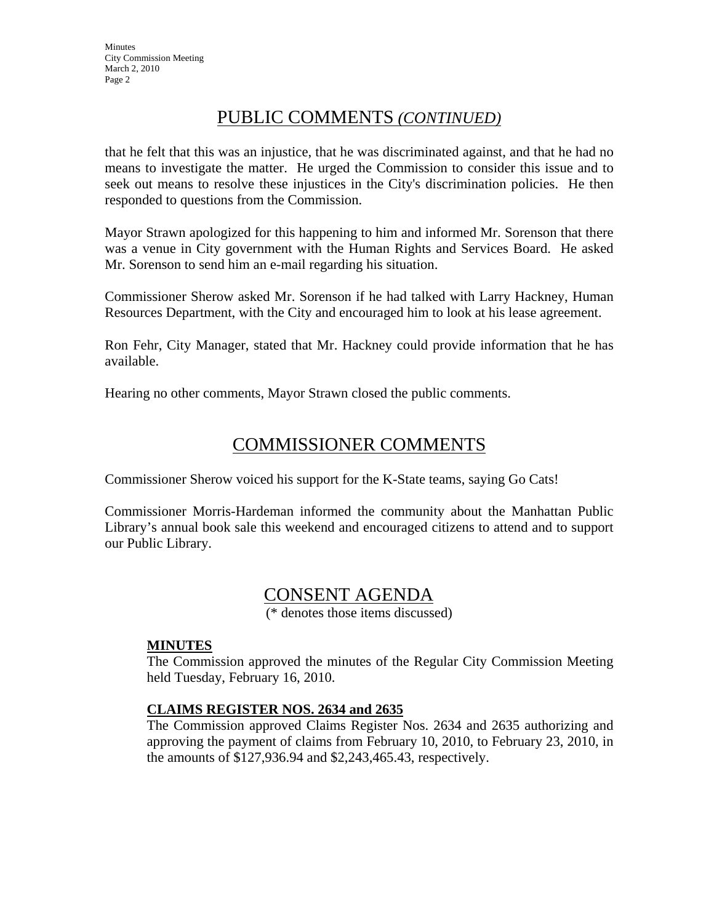## PUBLIC COMMENTS *(CONTINUED)*

that he felt that this was an injustice, that he was discriminated against, and that he had no means to investigate the matter. He urged the Commission to consider this issue and to seek out means to resolve these injustices in the City's discrimination policies. He then responded to questions from the Commission.

Mayor Strawn apologized for this happening to him and informed Mr. Sorenson that there was a venue in City government with the Human Rights and Services Board. He asked Mr. Sorenson to send him an e-mail regarding his situation.

Commissioner Sherow asked Mr. Sorenson if he had talked with Larry Hackney, Human Resources Department, with the City and encouraged him to look at his lease agreement.

Ron Fehr, City Manager, stated that Mr. Hackney could provide information that he has available.

Hearing no other comments, Mayor Strawn closed the public comments.

# COMMISSIONER COMMENTS

Commissioner Sherow voiced his support for the K-State teams, saying Go Cats!

Commissioner Morris-Hardeman informed the community about the Manhattan Public Library's annual book sale this weekend and encouraged citizens to attend and to support our Public Library.

# CONSENT AGENDA

(\* denotes those items discussed)

#### **MINUTES**

The Commission approved the minutes of the Regular City Commission Meeting held Tuesday, February 16, 2010.

#### **CLAIMS REGISTER NOS. 2634 and 2635**

The Commission approved Claims Register Nos. 2634 and 2635 authorizing and approving the payment of claims from February 10, 2010, to February 23, 2010, in the amounts of \$127,936.94 and \$2,243,465.43, respectively.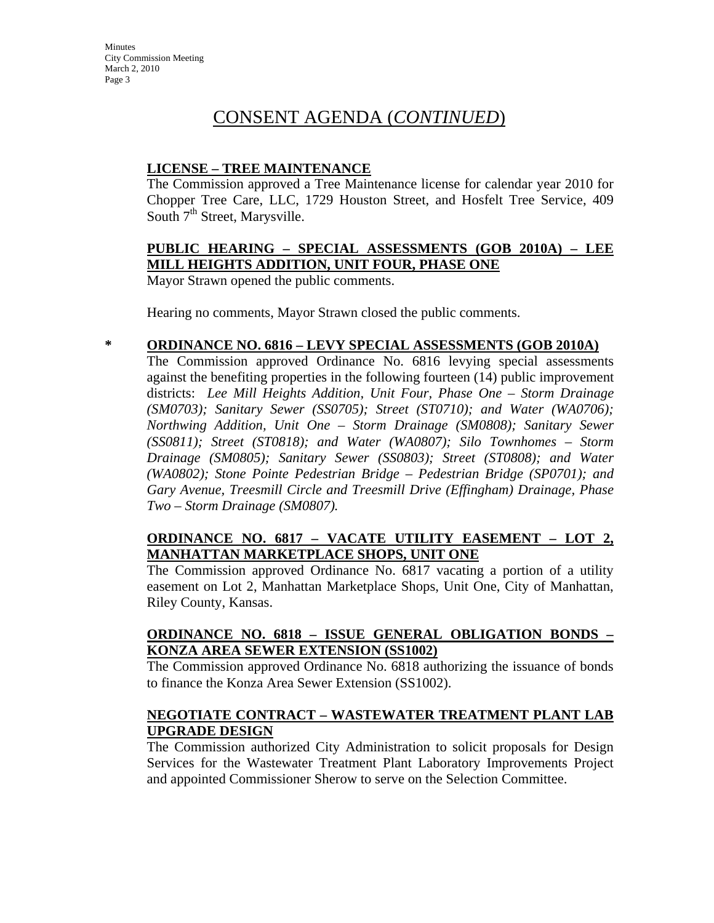**Minutes** City Commission Meeting March 2, 2010 Page 3

# CONSENT AGENDA (*CONTINUED*)

#### **LICENSE – TREE MAINTENANCE**

The Commission approved a Tree Maintenance license for calendar year 2010 for Chopper Tree Care, LLC, 1729 Houston Street, and Hosfelt Tree Service, 409 South  $7<sup>th</sup>$  Street, Marysville.

#### **PUBLIC HEARING – SPECIAL ASSESSMENTS (GOB 2010A) – LEE MILL HEIGHTS ADDITION, UNIT FOUR, PHASE ONE**

Mayor Strawn opened the public comments.

Hearing no comments, Mayor Strawn closed the public comments.

#### **\* ORDINANCE NO. 6816 – LEVY SPECIAL ASSESSMENTS (GOB 2010A)**

The Commission approved Ordinance No. 6816 levying special assessments against the benefiting properties in the following fourteen (14) public improvement districts: *Lee Mill Heights Addition, Unit Four, Phase One – Storm Drainage (SM0703); Sanitary Sewer (SS0705); Street (ST0710); and Water (WA0706); Northwing Addition, Unit One – Storm Drainage (SM0808); Sanitary Sewer (SS0811); Street (ST0818); and Water (WA0807); Silo Townhomes – Storm Drainage (SM0805); Sanitary Sewer (SS0803); Street (ST0808); and Water (WA0802); Stone Pointe Pedestrian Bridge – Pedestrian Bridge (SP0701); and Gary Avenue, Treesmill Circle and Treesmill Drive (Effingham) Drainage, Phase Two – Storm Drainage (SM0807).*

#### **ORDINANCE NO. 6817 – VACATE UTILITY EASEMENT – LOT 2, MANHATTAN MARKETPLACE SHOPS, UNIT ONE**

The Commission approved Ordinance No. 6817 vacating a portion of a utility easement on Lot 2, Manhattan Marketplace Shops, Unit One, City of Manhattan, Riley County, Kansas.

#### **ORDINANCE NO. 6818 – ISSUE GENERAL OBLIGATION BONDS – KONZA AREA SEWER EXTENSION (SS1002)**

The Commission approved Ordinance No. 6818 authorizing the issuance of bonds to finance the Konza Area Sewer Extension (SS1002).

#### **NEGOTIATE CONTRACT – WASTEWATER TREATMENT PLANT LAB UPGRADE DESIGN**

The Commission authorized City Administration to solicit proposals for Design Services for the Wastewater Treatment Plant Laboratory Improvements Project and appointed Commissioner Sherow to serve on the Selection Committee.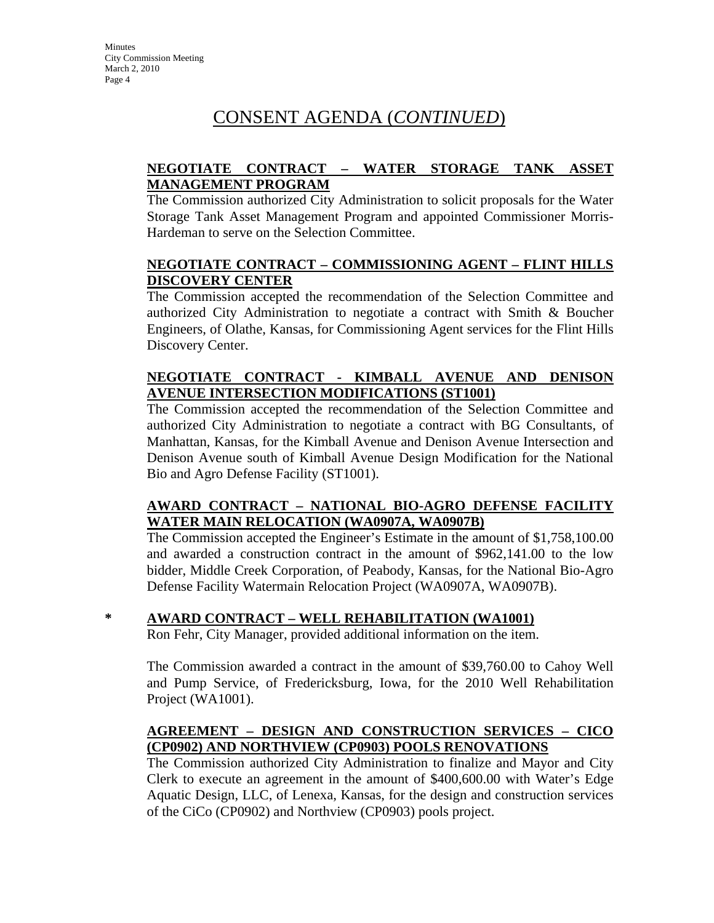# CONSENT AGENDA (*CONTINUED*)

#### **NEGOTIATE CONTRACT – WATER STORAGE TANK ASSET MANAGEMENT PROGRAM**

The Commission authorized City Administration to solicit proposals for the Water Storage Tank Asset Management Program and appointed Commissioner Morris-Hardeman to serve on the Selection Committee.

#### **NEGOTIATE CONTRACT – COMMISSIONING AGENT – FLINT HILLS DISCOVERY CENTER**

The Commission accepted the recommendation of the Selection Committee and authorized City Administration to negotiate a contract with Smith & Boucher Engineers, of Olathe, Kansas, for Commissioning Agent services for the Flint Hills Discovery Center.

#### **NEGOTIATE CONTRACT - KIMBALL AVENUE AND DENISON AVENUE INTERSECTION MODIFICATIONS (ST1001)**

The Commission accepted the recommendation of the Selection Committee and authorized City Administration to negotiate a contract with BG Consultants, of Manhattan, Kansas, for the Kimball Avenue and Denison Avenue Intersection and Denison Avenue south of Kimball Avenue Design Modification for the National Bio and Agro Defense Facility (ST1001).

#### **AWARD CONTRACT – NATIONAL BIO-AGRO DEFENSE FACILITY WATER MAIN RELOCATION (WA0907A, WA0907B)**

The Commission accepted the Engineer's Estimate in the amount of \$1,758,100.00 and awarded a construction contract in the amount of \$962,141.00 to the low bidder, Middle Creek Corporation, of Peabody, Kansas, for the National Bio-Agro Defense Facility Watermain Relocation Project (WA0907A, WA0907B).

### **\* AWARD CONTRACT – WELL REHABILITATION (WA1001)**

Ron Fehr, City Manager, provided additional information on the item.

The Commission awarded a contract in the amount of \$39,760.00 to Cahoy Well and Pump Service, of Fredericksburg, Iowa, for the 2010 Well Rehabilitation Project (WA1001).

#### **AGREEMENT – DESIGN AND CONSTRUCTION SERVICES – CICO (CP0902) AND NORTHVIEW (CP0903) POOLS RENOVATIONS**

The Commission authorized City Administration to finalize and Mayor and City Clerk to execute an agreement in the amount of \$400,600.00 with Water's Edge Aquatic Design, LLC, of Lenexa, Kansas, for the design and construction services of the CiCo (CP0902) and Northview (CP0903) pools project.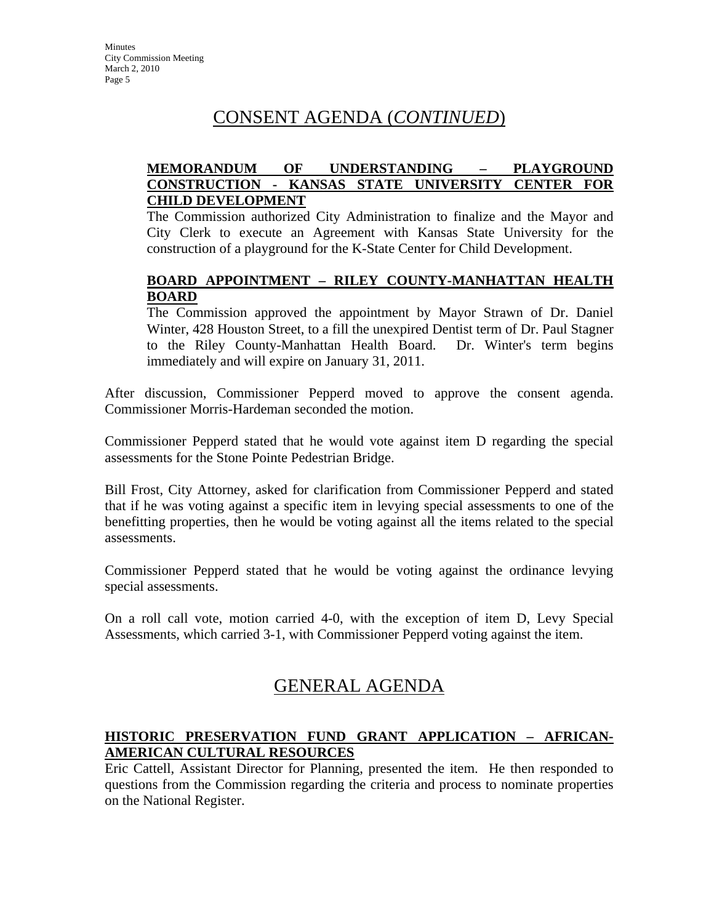# CONSENT AGENDA (*CONTINUED*)

#### **MEMORANDUM OF UNDERSTANDING – PLAYGROUND CONSTRUCTION - KANSAS STATE UNIVERSITY CENTER FOR CHILD DEVELOPMENT**

The Commission authorized City Administration to finalize and the Mayor and City Clerk to execute an Agreement with Kansas State University for the construction of a playground for the K-State Center for Child Development.

#### **BOARD APPOINTMENT – RILEY COUNTY-MANHATTAN HEALTH BOARD**

The Commission approved the appointment by Mayor Strawn of Dr. Daniel Winter, 428 Houston Street, to a fill the unexpired Dentist term of Dr. Paul Stagner to the Riley County-Manhattan Health Board. Dr. Winter's term begins immediately and will expire on January 31, 2011.

After discussion, Commissioner Pepperd moved to approve the consent agenda. Commissioner Morris-Hardeman seconded the motion.

Commissioner Pepperd stated that he would vote against item D regarding the special assessments for the Stone Pointe Pedestrian Bridge.

Bill Frost, City Attorney, asked for clarification from Commissioner Pepperd and stated that if he was voting against a specific item in levying special assessments to one of the benefitting properties, then he would be voting against all the items related to the special assessments.

Commissioner Pepperd stated that he would be voting against the ordinance levying special assessments.

On a roll call vote, motion carried 4-0, with the exception of item D, Levy Special Assessments, which carried 3-1, with Commissioner Pepperd voting against the item.

# GENERAL AGENDA

#### **HISTORIC PRESERVATION FUND GRANT APPLICATION – AFRICAN-AMERICAN CULTURAL RESOURCES**

Eric Cattell, Assistant Director for Planning, presented the item. He then responded to questions from the Commission regarding the criteria and process to nominate properties on the National Register.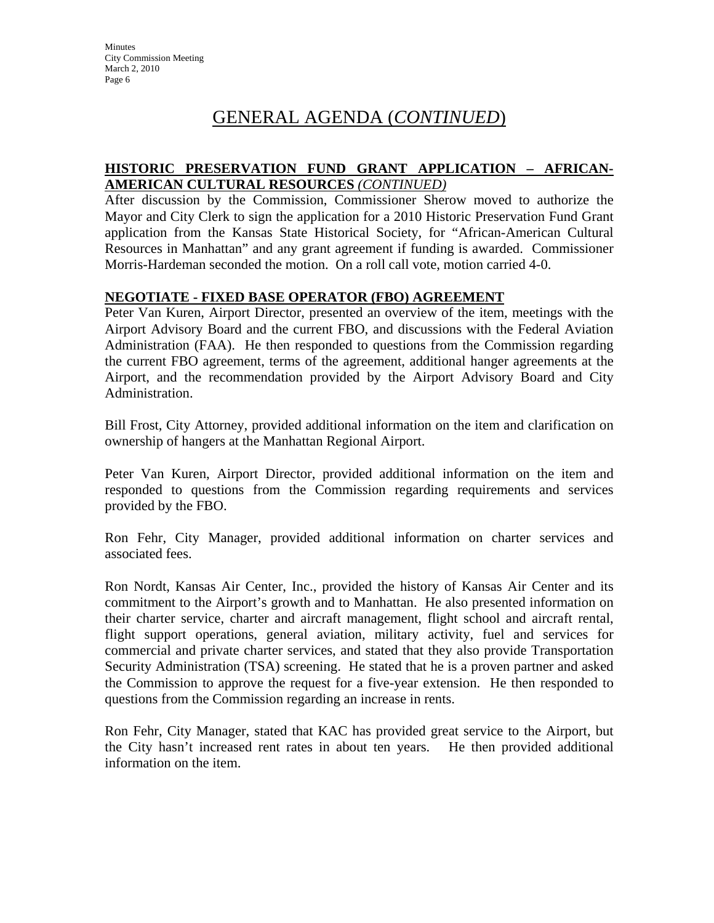# GENERAL AGENDA (*CONTINUED*)

#### **HISTORIC PRESERVATION FUND GRANT APPLICATION – AFRICAN-AMERICAN CULTURAL RESOURCES** *(CONTINUED)*

After discussion by the Commission, Commissioner Sherow moved to authorize the Mayor and City Clerk to sign the application for a 2010 Historic Preservation Fund Grant application from the Kansas State Historical Society, for "African-American Cultural Resources in Manhattan" and any grant agreement if funding is awarded. Commissioner Morris-Hardeman seconded the motion. On a roll call vote, motion carried 4-0.

#### **NEGOTIATE - FIXED BASE OPERATOR (FBO) AGREEMENT**

Peter Van Kuren, Airport Director, presented an overview of the item, meetings with the Airport Advisory Board and the current FBO, and discussions with the Federal Aviation Administration (FAA). He then responded to questions from the Commission regarding the current FBO agreement, terms of the agreement, additional hanger agreements at the Airport, and the recommendation provided by the Airport Advisory Board and City Administration.

Bill Frost, City Attorney, provided additional information on the item and clarification on ownership of hangers at the Manhattan Regional Airport.

Peter Van Kuren, Airport Director, provided additional information on the item and responded to questions from the Commission regarding requirements and services provided by the FBO.

Ron Fehr, City Manager, provided additional information on charter services and associated fees.

Ron Nordt, Kansas Air Center, Inc., provided the history of Kansas Air Center and its commitment to the Airport's growth and to Manhattan. He also presented information on their charter service, charter and aircraft management, flight school and aircraft rental, flight support operations, general aviation, military activity, fuel and services for commercial and private charter services, and stated that they also provide Transportation Security Administration (TSA) screening. He stated that he is a proven partner and asked the Commission to approve the request for a five-year extension. He then responded to questions from the Commission regarding an increase in rents.

Ron Fehr, City Manager, stated that KAC has provided great service to the Airport, but the City hasn't increased rent rates in about ten years. He then provided additional information on the item.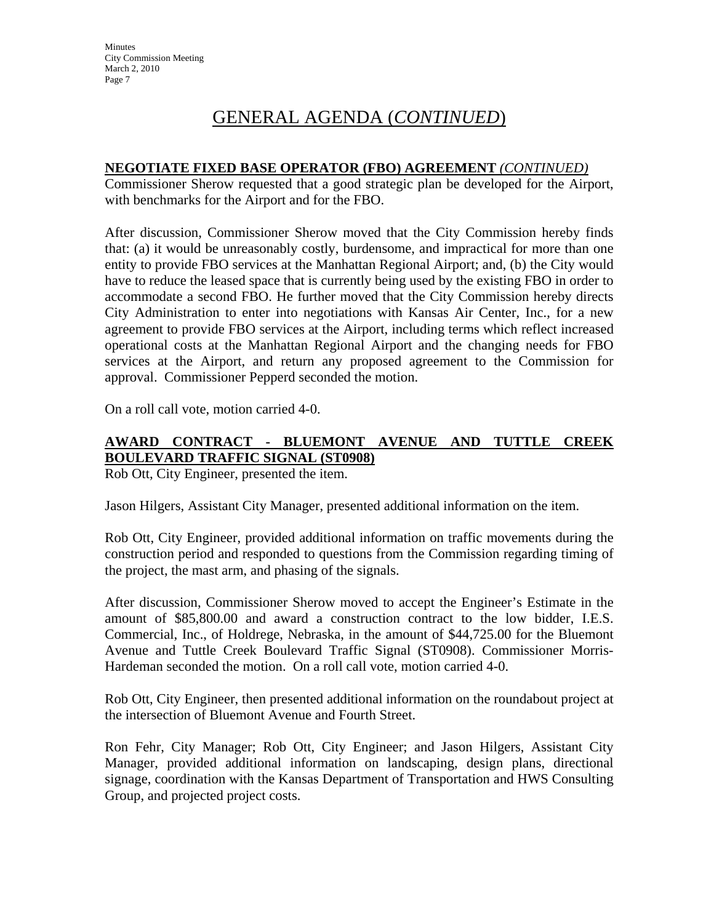# GENERAL AGENDA (*CONTINUED*)

#### **NEGOTIATE FIXED BASE OPERATOR (FBO) AGREEMENT** *(CONTINUED)*

Commissioner Sherow requested that a good strategic plan be developed for the Airport, with benchmarks for the Airport and for the FBO.

After discussion, Commissioner Sherow moved that the City Commission hereby finds that: (a) it would be unreasonably costly, burdensome, and impractical for more than one entity to provide FBO services at the Manhattan Regional Airport; and, (b) the City would have to reduce the leased space that is currently being used by the existing FBO in order to accommodate a second FBO. He further moved that the City Commission hereby directs City Administration to enter into negotiations with Kansas Air Center, Inc., for a new agreement to provide FBO services at the Airport, including terms which reflect increased operational costs at the Manhattan Regional Airport and the changing needs for FBO services at the Airport, and return any proposed agreement to the Commission for approval. Commissioner Pepperd seconded the motion.

On a roll call vote, motion carried 4-0.

### **AWARD CONTRACT - BLUEMONT AVENUE AND TUTTLE CREEK BOULEVARD TRAFFIC SIGNAL (ST0908)**

Rob Ott, City Engineer, presented the item.

Jason Hilgers, Assistant City Manager, presented additional information on the item.

Rob Ott, City Engineer, provided additional information on traffic movements during the construction period and responded to questions from the Commission regarding timing of the project, the mast arm, and phasing of the signals.

After discussion, Commissioner Sherow moved to accept the Engineer's Estimate in the amount of \$85,800.00 and award a construction contract to the low bidder, I.E.S. Commercial, Inc., of Holdrege, Nebraska, in the amount of \$44,725.00 for the Bluemont Avenue and Tuttle Creek Boulevard Traffic Signal (ST0908). Commissioner Morris-Hardeman seconded the motion. On a roll call vote, motion carried 4-0.

Rob Ott, City Engineer, then presented additional information on the roundabout project at the intersection of Bluemont Avenue and Fourth Street.

Ron Fehr, City Manager; Rob Ott, City Engineer; and Jason Hilgers, Assistant City Manager, provided additional information on landscaping, design plans, directional signage, coordination with the Kansas Department of Transportation and HWS Consulting Group, and projected project costs.